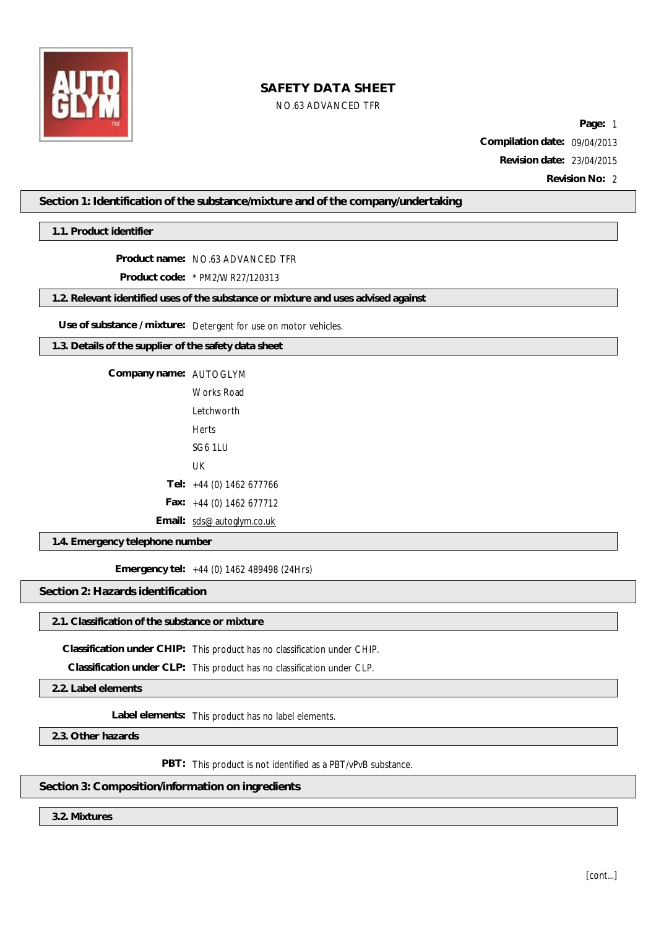

### NO.63 ADVANCED TFR

**Page:** 1 **Compilation date:** 09/04/2013 **Revision date:** 23/04/2015 **Revision No:** 2

**Section 1: Identification of the substance/mixture and of the company/undertaking**

**1.1. Product identifier**

**Product name:** NO.63 ADVANCED TFR

**Product code:** \* PM2/WR27/120313

**1.2. Relevant identified uses of the substance or mixture and uses advised against**

**Use of substance / mixture:** Detergent for use on motor vehicles.

**1.3. Details of the supplier of the safety data sheet**

**Company name:** AUTOGLYM

Works Road Letchworth Herts SG6 1LU UK **Tel:** +44 (0) 1462 677766 **Fax:** +44 (0) 1462 677712

**Email:** [sds@autoglym.co.uk](mailto:sds@autoglym.co.uk)

**1.4. Emergency telephone number**

**Emergency tel:** +44 (0) 1462 489498 (24Hrs)

**Section 2: Hazards identification**

### **2.1. Classification of the substance or mixture**

**Classification under CHIP:** This product has no classification under CHIP.

**Classification under CLP:** This product has no classification under CLP.

**2.2. Label elements**

**Label elements:** This product has no label elements.

**2.3. Other hazards**

**PBT:** This product is not identified as a PBT/vPvB substance.

# **Section 3: Composition/information on ingredients**

**3.2. Mixtures**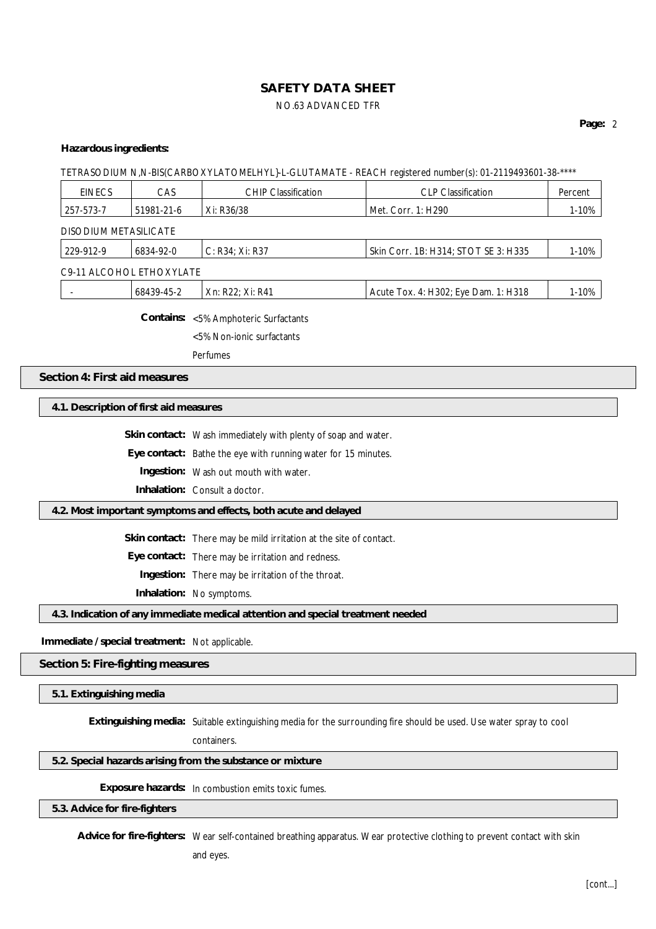# **SAFETY DATA SHEET** NO.63 ADVANCED TFR

#### **Hazardous ingredients:**

TETRASODIUM N,N-BIS(CARBOXYLATOMELHYL}-L-GLUTAMATE - REACH registered number(s): 01-2119493601-38-\*\*\*\*

| <b>EINECS</b>                | CAS                      | <b>CHIP Classification</b> | <b>CLP Classification</b>            | Percent |
|------------------------------|--------------------------|----------------------------|--------------------------------------|---------|
| 257-573-7                    | 51981-21-6               | Xi: R36/38                 | Met. Corr. 1: H290                   | 1-10%   |
| <b>DISODIUM METASILICATE</b> |                          |                            |                                      |         |
| 229-912-9                    | 6834-92-0                | C: R34: Xi: R37            | Skin Corr. 1B: H314; STOT SE 3: H335 | 1-10%   |
|                              | C9-11 ALCOHOL ETHOXYLATE |                            |                                      |         |
|                              | 68439-45-2               | Xn: R22: Xi: R41           | Acute Tox. 4: H302; Eye Dam. 1: H318 | 1-10%   |

**Contains:** <5% Amphoteric Surfactants

<5% Non-ionic surfactants

Perfumes

#### **Section 4: First aid measures**

**4.1. Description of first aid measures**

**Skin contact:** Wash immediately with plenty of soap and water.

**Eye contact:** Bathe the eye with running water for 15 minutes.

**Ingestion:** Wash out mouth with water.

**Inhalation:** Consult a doctor.

#### **4.2. Most important symptoms and effects, both acute and delayed**

**Skin contact:** There may be mild irritation at the site of contact.

**Eye contact:** There may be irritation and redness.

**Ingestion:** There may be irritation of the throat.

**Inhalation:** No symptoms.

**4.3. Indication of any immediate medical attention and special treatment needed**

**Immediate / special treatment:** Not applicable.

**Section 5: Fire-fighting measures**

**5.1. Extinguishing media**

**Extinguishing media:** Suitable extinguishing media for the surrounding fire should be used. Use water spray to cool

containers.

#### **5.2. Special hazards arising from the substance or mixture**

**Exposure hazards:** In combustion emits toxic fumes.

**5.3. Advice for fire-fighters**

**Advice for fire-fighters:** Wear self-contained breathing apparatus. Wear protective clothing to prevent contact with skin and eyes.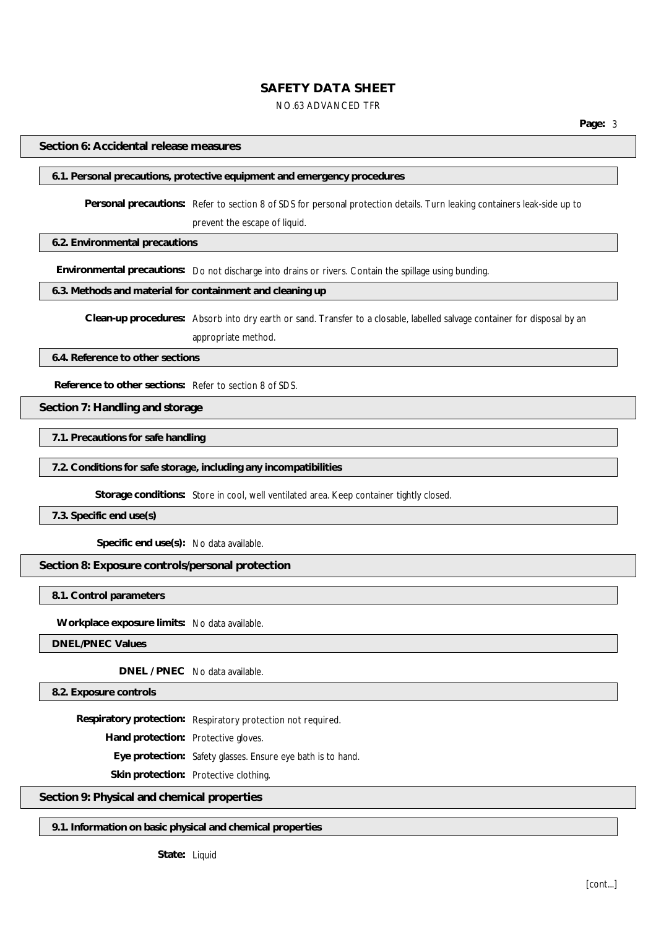### NO.63 ADVANCED TFR

**Page:** 3

#### **Section 6: Accidental release measures**

#### **6.1. Personal precautions, protective equipment and emergency procedures**

**Personal precautions:** Refer to section 8 of SDS for personal protection details. Turn leaking containers leak-side up to prevent the escape of liquid.

**6.2. Environmental precautions**

**Environmental precautions:** Do not discharge into drains or rivers. Contain the spillage using bunding.

#### **6.3. Methods and material for containment and cleaning up**

**Clean-up procedures:** Absorb into dry earth or sand. Transfer to a closable, labelled salvage container for disposal by an appropriate method.

**6.4. Reference to other sections**

**Reference to other sections:** Refer to section 8 of SDS.

**Section 7: Handling and storage**

**7.1. Precautions for safe handling**

**7.2. Conditions for safe storage, including any incompatibilities**

**Storage conditions:** Store in cool, well ventilated area. Keep container tightly closed.

**7.3. Specific end use(s)**

**Specific end use(s):** No data available.

**Section 8: Exposure controls/personal protection**

**8.1. Control parameters**

**Workplace exposure limits:** No data available.

**DNEL/PNEC Values**

**DNEL / PNEC** No data available.

**8.2. Exposure controls**

**Respiratory protection:** Respiratory protection not required.

**Hand protection:** Protective gloves.

**Eye protection:** Safety glasses. Ensure eye bath is to hand.

**Skin protection:** Protective clothing.

#### **Section 9: Physical and chemical properties**

**9.1. Information on basic physical and chemical properties**

**State:** Liquid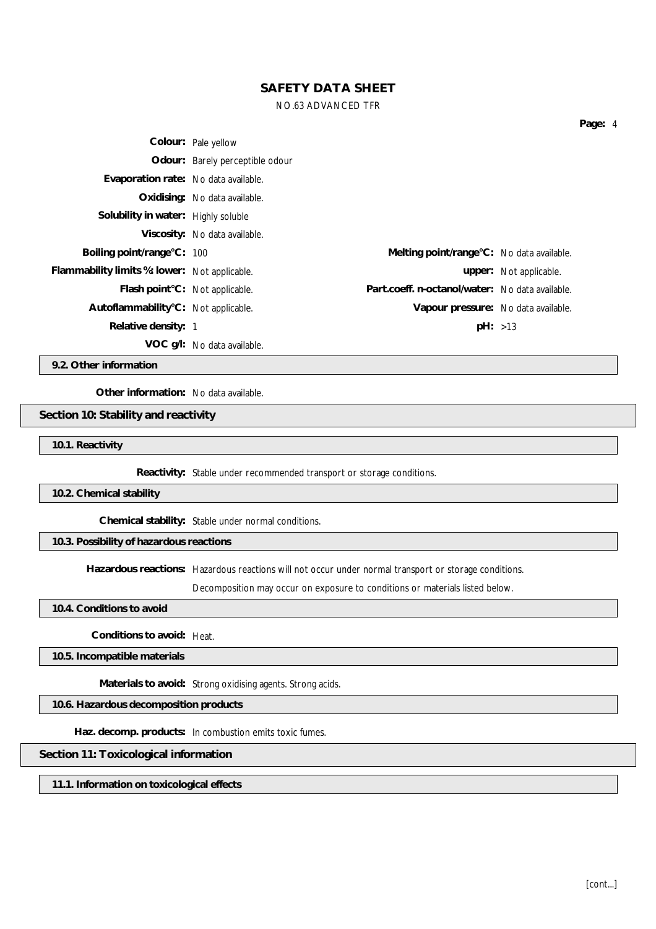#### NO.63 ADVANCED TFR

|                                               | Colour: Pale yellow             |                                                 |                        |
|-----------------------------------------------|---------------------------------|-------------------------------------------------|------------------------|
|                                               | Odour: Barely perceptible odour |                                                 |                        |
| Evaporation rate: No data available.          |                                 |                                                 |                        |
|                                               | Oxidising: No data available.   |                                                 |                        |
| Solubility in water: Highly soluble           |                                 |                                                 |                        |
|                                               | Viscosity: No data available.   |                                                 |                        |
| Boiling point/range°C: 100                    |                                 | Melting point/range °C: No data available.      |                        |
| Flammability limits %: lower: Not applicable. |                                 |                                                 | upper: Not applicable. |
| Flash point°C: Not applicable.                |                                 | Part.coeff. n-octanol/water: No data available. |                        |
| Autoflammability°C: Not applicable.           |                                 | Vapour pressure: No data available.             |                        |
| Relative density: 1                           |                                 | pH: >13                                         |                        |
|                                               | VOC g/l: No data available.     |                                                 |                        |

**9.2. Other information**

**Other information:** No data available.

**Section 10: Stability and reactivity**

**10.1. Reactivity**

**Reactivity:** Stable under recommended transport or storage conditions.

**10.2. Chemical stability**

**Chemical stability:** Stable under normal conditions.

**10.3. Possibility of hazardous reactions**

**Hazardous reactions:** Hazardous reactions will not occur under normal transport or storage conditions.

Decomposition may occur on exposure to conditions or materials listed below.

**10.4. Conditions to avoid**

**Conditions to avoid:** Heat.

**10.5. Incompatible materials**

**Materials to avoid:** Strong oxidising agents. Strong acids.

**10.6. Hazardous decomposition products**

**Haz. decomp. products:** In combustion emits toxic fumes.

**Section 11: Toxicological information**

**11.1. Information on toxicological effects**

**Page:** 4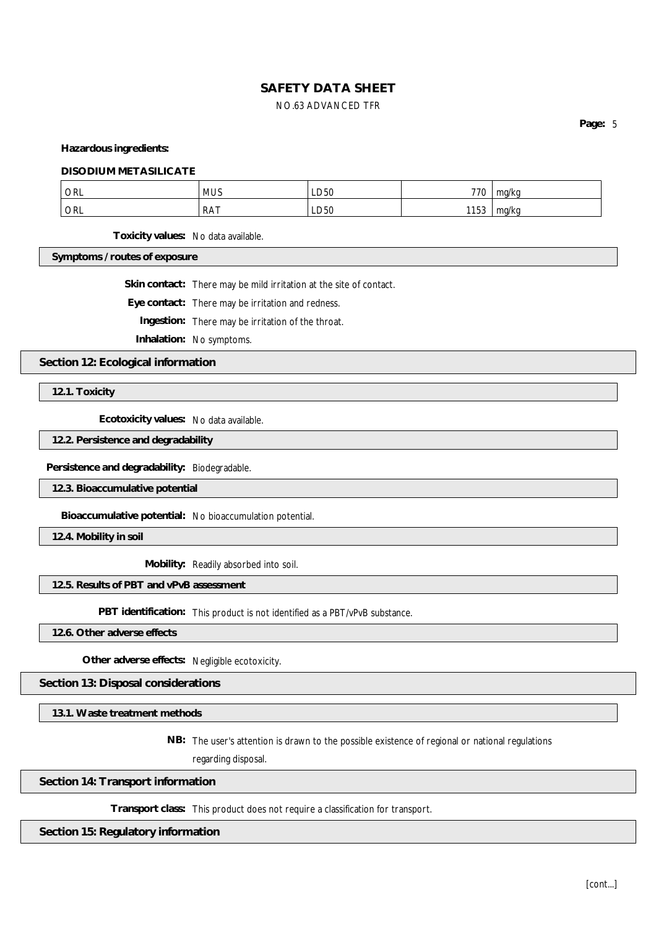# **SAFETY DATA SHEET** NO.63 ADVANCED TFR

**Page:** 5

**Hazardous ingredients:**

#### **DISODIUM METASILICATE**

| <b>ORL</b> | <b>MUS</b> | ---<br>LD50      | 770   | ma/ko     |
|------------|------------|------------------|-------|-----------|
|            |            |                  | 1150  | ma/ko     |
| ORL        | RAT        | LD <sub>50</sub> | 1 J J | $\cdot$ . |

**Toxicity values:** No data available.

**Symptoms / routes of exposure**

**Skin contact:** There may be mild irritation at the site of contact.

**Eye contact:** There may be irritation and redness.

**Ingestion:** There may be irritation of the throat.

**Inhalation:** No symptoms.

**Section 12: Ecological information**

**12.1. Toxicity**

**Ecotoxicity values:** No data available.

**12.2. Persistence and degradability**

**Persistence and degradability:** Biodegradable.

**12.3. Bioaccumulative potential**

**Bioaccumulative potential:** No bioaccumulation potential.

**12.4. Mobility in soil**

**Mobility:** Readily absorbed into soil.

### **12.5. Results of PBT and vPvB assessment**

**PBT identification:** This product is not identified as a PBT/vPvB substance.

**12.6. Other adverse effects**

**Other adverse effects:** Negligible ecotoxicity.

### **Section 13: Disposal considerations**

**13.1. Waste treatment methods**

**NB:** The user's attention is drawn to the possible existence of regional or national regulations

regarding disposal.

#### **Section 14: Transport information**

**Transport class:** This product does not require a classification for transport.

#### **Section 15: Regulatory information**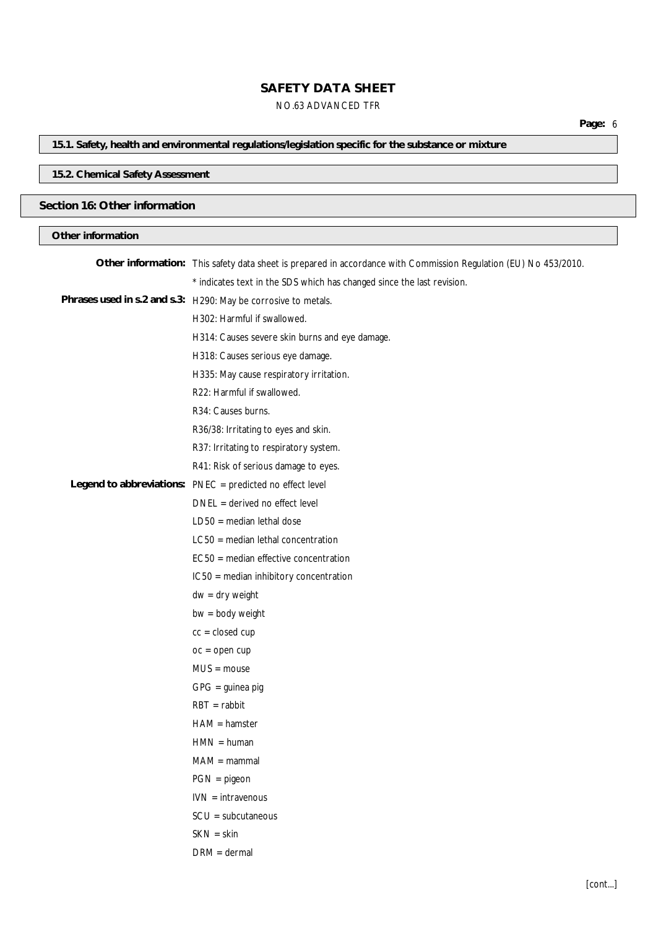### **SAFETY DATA SHEET** NO.63 ADVANCED TFR

# **15.1. Safety, health and environmental regulations/legislation specific for the substance or mixture**

### **15.2. Chemical Safety Assessment**

### **Section 16: Other information**

### **Other information**

| Other information: This safety data sheet is prepared in accordance with Commission Regulation (EU) No 453/2010. |
|------------------------------------------------------------------------------------------------------------------|
| * indicates text in the SDS which has changed since the last revision.                                           |
| Phrases used in s.2 and s.3: H290: May be corrosive to metals.                                                   |
| H302: Harmful if swallowed.                                                                                      |
| H314: Causes severe skin burns and eye damage.                                                                   |
| H318: Causes serious eye damage.                                                                                 |
| H335: May cause respiratory irritation.                                                                          |
| R22: Harmful if swallowed.                                                                                       |
| R34: Causes burns.                                                                                               |
| R36/38: Irritating to eyes and skin.                                                                             |
| R37: Irritating to respiratory system.                                                                           |
| R41: Risk of serious damage to eyes.                                                                             |
| Legend to abbreviations: PNEC = predicted no effect level                                                        |
| $DNEL = derived no effect level$                                                                                 |
| $LD50 = median$ lethal dose                                                                                      |
| $LC50$ = median lethal concentration                                                                             |
| EC50 = median effective concentration                                                                            |
| IC50 = median inhibitory concentration                                                                           |
| $dw = dry$ weight                                                                                                |
| $bw = body weight$                                                                                               |
| $cc = closed cup$                                                                                                |
| $oc = open cup$                                                                                                  |
| $MUS = mouse$                                                                                                    |
| $GPG =$ guinea pig                                                                                               |
| $RBT = rabbit$                                                                                                   |
| $HAM = hamster$                                                                                                  |
| $HMN = human$                                                                                                    |
| $MAM = mammal$                                                                                                   |
| $PGN = pigeon$                                                                                                   |
| $IVN = intravenous$                                                                                              |
| $SCU = subcutaneous$                                                                                             |
| $SKN = skin$                                                                                                     |
| $DRM = dermal$                                                                                                   |